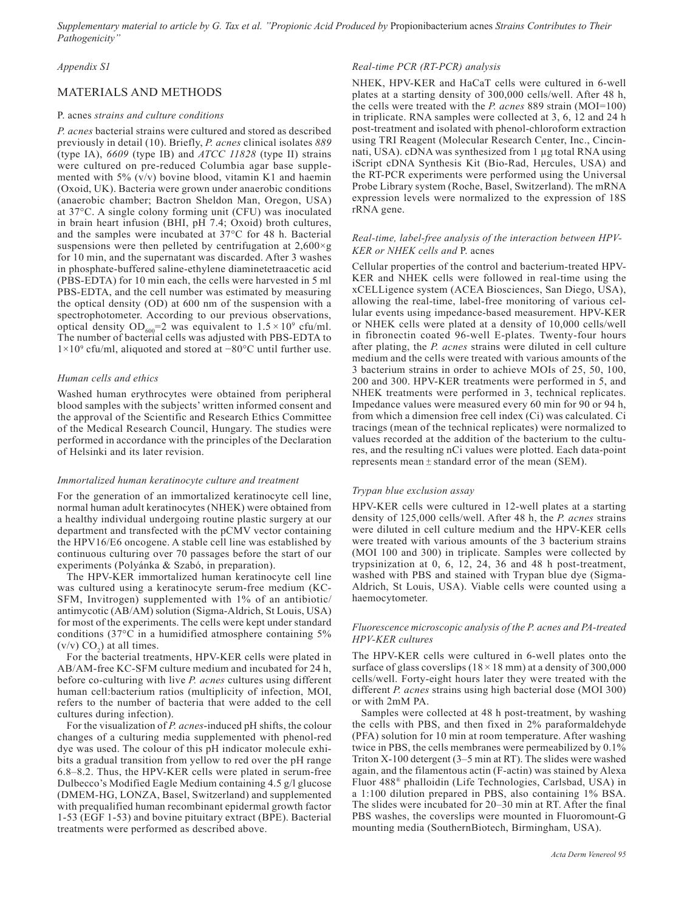*Supplementary material to article by G. Tax et al. "Propionic Acid Produced by* Propionibacterium acnes *Strains Contributes to Their Pathogenicity"*

## *Appendix S1*

# MATERIALS AND METHODS

## P. acnes *strains and culture conditions*

*P. acnes* bacterial strains were cultured and stored as described previously in detail (10). Briefly, *P. acnes* clinical isolates *889* (type IA), *6609* (type IB) and *ATCC 11828* (type II) strains were cultured on pre-reduced Columbia agar base supplemented with 5% (v/v) bovine blood, vitamin K1 and haemin (Oxoid, UK). Bacteria were grown under anaerobic conditions (anaerobic chamber; Bactron Sheldon Man, Oregon, USA) at 37°C. A single colony forming unit (CFU) was inoculated in brain heart infusion (BHI, pH 7.4; Oxoid) broth cultures, and the samples were incubated at 37°C for 48 h. Bacterial suspensions were then pelleted by centrifugation at  $2.600 \times g$ for 10 min, and the supernatant was discarded. After 3 washes in phosphate-buffered saline-ethylene diaminetetraacetic acid (PBS-EDTA) for 10 min each, the cells were harvested in 5 ml PBS-EDTA, and the cell number was estimated by measuring the optical density (OD) at 600 nm of the suspension with a spectrophotometer. According to our previous observations, optical density  $OD_{600} = 2$  was equivalent to  $1.5 \times 10^9$  cfu/ml. The number of bacterial cells was adjusted with PBS-EDTA to 1×109 cfu/ml, aliquoted and stored at −80°C until further use.

#### *Human cells and ethics*

Washed human erythrocytes were obtained from peripheral blood samples with the subjects' written informed consent and the approval of the Scientific and Research Ethics Committee of the Medical Research Council, Hungary. The studies were performed in accordance with the principles of the Declaration of Helsinki and its later revision.

#### *Immortalized human keratinocyte culture and treatment*

For the generation of an immortalized keratinocyte cell line, normal human adult keratinocytes (NHEK) were obtained from a healthy individual undergoing routine plastic surgery at our department and transfected with the pCMV vector containing the HPV16/E6 oncogene. A stable cell line was established by continuous culturing over 70 passages before the start of our experiments (Polyánka & Szabó, in preparation).

The HPV-KER immortalized human keratinocyte cell line was cultured using a keratinocyte serum-free medium (KC-SFM, Invitrogen) supplemented with 1% of an antibiotic/ antimycotic (AB/AM) solution (Sigma-Aldrich, St Louis, USA) for most of the experiments. The cells were kept under standard conditions (37°C in a humidified atmosphere containing 5%  $(v/v) CO<sub>2</sub>$  at all times.

For the bacterial treatments, HPV-KER cells were plated in AB/AM-free KC-SFM culture medium and incubated for 24 h, before co-culturing with live *P. acnes* cultures using different human cell:bacterium ratios (multiplicity of infection, MOI, refers to the number of bacteria that were added to the cell cultures during infection).

For the visualization of *P. acnes*-induced pH shifts, the colour changes of a culturing media supplemented with phenol-red dye was used. The colour of this pH indicator molecule exhibits a gradual transition from yellow to red over the pH range 6.8–8.2. Thus, the HPV-KER cells were plated in serum-free Dulbecco's Modified Eagle Medium containing 4.5 g/l glucose (DMEM-HG, LONZA, Basel, Switzerland) and supplemented with prequalified human recombinant epidermal growth factor 1-53 (EGF 1-53) and bovine pituitary extract (BPE). Bacterial treatments were performed as described above.

#### *Real-time PCR (RT-PCR) analysis*

NHEK, HPV-KER and HaCaT cells were cultured in 6-well plates at a starting density of 300,000 cells/well. After 48 h, the cells were treated with the *P. acnes* 889 strain (MOI=100) in triplicate. RNA samples were collected at 3, 6, 12 and 24 h post-treatment and isolated with phenol-chloroform extraction using TRI Reagent (Molecular Research Center, Inc., Cincinnati, USA). cDNA was synthesized from 1 ug total RNA using iScript cDNA Synthesis Kit (Bio-Rad, Hercules, USA) and the RT-PCR experiments were performed using the Universal Probe Library system (Roche, Basel, Switzerland). The mRNA expression levels were normalized to the expression of 18S rRNA gene.

### *Real-time, label-free analysis of the interaction between HPV-KER or NHEK cells and* P. acnes

Cellular properties of the control and bacterium-treated HPV-KER and NHEK cells were followed in real-time using the xCELLigence system (ACEA Biosciences, San Diego, USA), allowing the real-time, label-free monitoring of various cellular events using impedance-based measurement. HPV-KER or NHEK cells were plated at a density of 10,000 cells/well in fibronectin coated 96-well E-plates. Twenty-four hours after plating, the *P. acnes* strains were diluted in cell culture medium and the cells were treated with various amounts of the 3 bacterium strains in order to achieve MOIs of 25, 50, 100, 200 and 300. HPV-KER treatments were performed in 5, and NHEK treatments were performed in 3, technical replicates. Impedance values were measured every 60 min for 90 or 94 h, from which a dimension free cell index (Ci) was calculated. Ci tracings (mean of the technical replicates) were normalized to values recorded at the addition of the bacterium to the cultures, and the resulting nCi values were plotted. Each data-point represents mean ± standard error of the mean (SEM).

#### *Trypan blue exclusion assay*

HPV-KER cells were cultured in 12-well plates at a starting density of 125,000 cells/well. After 48 h, the *P. acnes* strains were diluted in cell culture medium and the HPV-KER cells were treated with various amounts of the 3 bacterium strains (MOI 100 and 300) in triplicate. Samples were collected by trypsinization at 0, 6, 12, 24, 36 and 48 h post-treatment, washed with PBS and stained with Trypan blue dye (Sigma-Aldrich, St Louis, USA). Viable cells were counted using a haemocytometer.

## *Fluorescence microscopic analysis of the P. acnes and PA-treated HPV-KER cultures*

The HPV-KER cells were cultured in 6-well plates onto the surface of glass coverslips  $(18 \times 18 \text{ mm})$  at a density of 300,000 cells/well. Forty-eight hours later they were treated with the different *P. acnes* strains using high bacterial dose (MOI 300) or with 2mM PA.

Samples were collected at 48 h post-treatment, by washing the cells with PBS, and then fixed in 2% paraformaldehyde (PFA) solution for 10 min at room temperature. After washing twice in PBS, the cells membranes were permeabilized by 0.1% Triton X-100 detergent (3–5 min at RT). The slides were washed again, and the filamentous actin (F-actin) was stained by Alexa Fluor 488® phalloidin (Life Technologies, Carlsbad, USA) in a 1:100 dilution prepared in PBS, also containing 1% BSA. The slides were incubated for 20–30 min at RT. After the final PBS washes, the coverslips were mounted in Fluoromount-G mounting media (SouthernBiotech, Birmingham, USA).